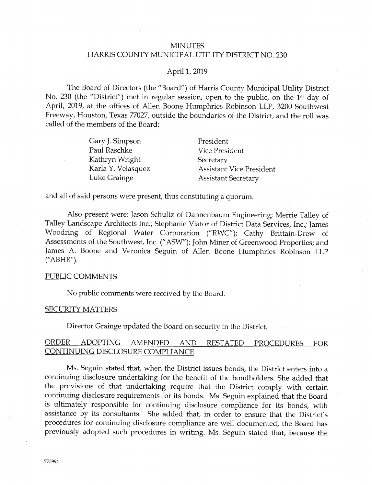# **MINUTES** HARRIS COUNTY MUNICIPAL UTILITY DISTRICT NO. 230

#### April 1, 2019

The Board of Directors (the "Board") of Harris County Municipal Utility District No. 230 (the "District") met in regular session, open to the public, on the 1<sup>st</sup> day of April, 2019, at the offices of Allen Boone Humphries Robinson LLP, 3200 Southwest Freeway, Houston, Texas 77027, outside the boundaries of the District, and the roll was called of the members of the Board:

> Cary ]. Simpson Paul Raschke Kathryn Wright Karla Y. Velasquez Luke Grainge

President Vice President **Secretary** Assistant Vice Fresident Assistant Secretary

and all of said persons were present, thus constituting a quorum.

Also present were: Jason Schultz of Dannenbaum Engineering; Merrie Talley of Talley Landscape Architects Ine.; Stephanie Viator of District Data Services, Inc.; ]ames Woodring of Regional Water Corporation ("RWC"); Cathy Brittain-Drew of Assessments of the Southwest, Inc. ("ASW"); John Miner of Greenwood Properties; and James A. Boone and Veronica Seguin of Allen Boone Humphries Robinson LLP {"ABHR").

# PUBLIC COMMENTS

No public comments were received by the Board..

#### **SECURITY MATTERS**

Director Grainge updated the Board on security in the District.

# ORDER ADOPTING AMENDED AND RESTATED PROCEDURES FOR CONTINUING DISCLOSURE COMPLIANCE

Ms. Seguin stated that, when the District issues bonds, the District enters into a continuing disclosure undertaking for the benefit of the bondholders. She added that the provisions of that undertaking require that the District comply with certain continuing disclosure requirements for its bonds. Ms. Seguin explained that the Board is ultimately responsible for continuing disclosure compliance for its bonds, with assistance by its consultants. She added that, in order to ensure that the District's procedures for continuing disclosure compliance are well documented, the Board has previously adopted such procedures in writing. Ms. Seguin stated that, because the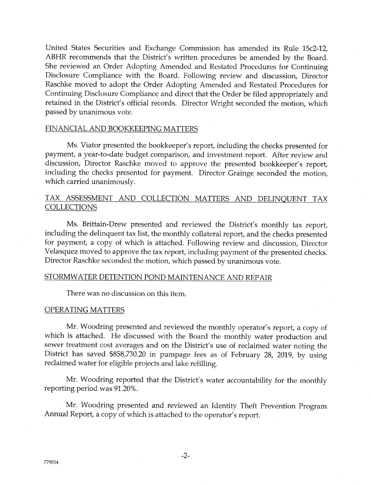United States Securities and Exchange Commission has amended its Rule 15c2-12, ABHR recommends that the District's written procedures be amended by the Board. She reviewed an Order Adopting Amended and Restated Procedures {or Continuing Disclosure Compliance with the Board. Following review and discussion, Director Raschke moved to adopt the Order Adopting Amended and Restated Procedures for Continuing Disclosure Compliance and direct that the Order be filed appropriately and retained in the District's official records. Director Wright seconded the motion, which passed by unanimous vote.

## FINANCIAL AND BOOKKEEPING MATTERS

Ms. Viator presented the bookkeeper's report, including the checks presented for payment, a year-to-date budget comparison, and investment report. After review and discussion, Direetor Raschke moved to approve the presented bookkeeper's report, including the checks presented for payment. Director Grainge seconded the motion, which carried unanimouslv.

# TAX ASSESSMENT AND COLLECTION MATTERS AND DELINQUENT TAX COLLECTIONS

Ms. Brittain-Drew presented and reviewed the District's monthly tax report, including the delinquent tax list, the monthly collateral report, and the checks presented for payment, a copy of which is attached. Following review and discussion, Director Velasquez moved to approve the tax report, including payment of the presented checks. Director Raschke seconded the motion, which passed by unanimous vote.

#### STORMWATER DETENTION POND MAINTENANCE AND REPAIR

There was no discussion on this item.

#### OPERATING MATTERS

Mr. Woodring presented and reviewed the monthly operator's report, a copy of which is attached. He discussed with the Board the monthly water production and sewer treatment cost averages and on the District's use of reclaimed water noting the District has saved \$858,730.20 in pumpage fees as of February 28, 2019, by using reclaimed water for eligible projects and lake refilling.

Mr. Woodring reported that the District's water accountability for the monthly reporting period was 91.20%.

Mr. Woodring presented and reviewed an Identity Theft Prevention Program Annual Report, a copy o{ which is attached to the operator's report.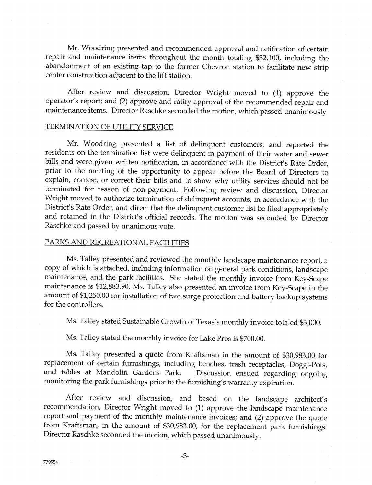Mr. Woodring presented and recommended approval and ratification of certain repair and maintenance items throughout the month totaling \$32,100, including the abandonment of an existing tap to the former Chevron station to facilitate new strip center construction adjacent to the lift station.

After review and discussion, Director Wright moved to (1) approve the operator's report; and (2) approve and ratify approval of the recommended repair and maintenance items. Director Raschke seconded the motion, which passed unanimousiy

## TERMINATION OF UTILITY SERVICE

Mr. Woodring presented a list of delinquent customers, and reported the residents on the termination list were delinquent in payment of their water and sewer bills and were given written notification, in accordance with the District's Rate Order, prior to the meeting of the opportunity to appear before the Board of Directors to explain, contest, or correct their bills and to show why utility services should not be terminated for reason of non-payment. Following review and discussion, Director Wright moved to authorize termination of delinquent accounts, in accordance with the District's Rate Order, and direct that the delinquent customer list be filed appropriately and retained in the District's official records. The motion was seconded by Director Raschke and passed by unanimous vote.

#### PARKS AND RECREATIONAL FACILITIES

Ms. Talley presented and reviewed the monthly landscape maintenance report, a copy of which is attached, including information on general park conditions, landscape maintenance, and the park facilities. She stated the monthly invoice from Key-Scape maintenance is \$12,883.90. Ms. Talley also presented an invoice from Key-Scape in the amount of \$1,250.00 for instailation of two surge protection and battery backup systems for the controllers.

Ms. Talley stated Sustainable Growth of Texas's monthly invoice totaled \$3,000.

Ms. Talley stated the monthly invoice for Lake Pros is \$700.00.

Ms. Talley presented a quote from Kraftsman in the amount of \$30,983.00 for replacement of certain furnishings, including benches, trash receptacles, Doggi-Pots, and tables at Mandolin Gardens Park. Discussion ensued regarding ongoing monitoring the park furnishings prior to the furnishing's warranty expiration.

After review and discussion, and based on the landscape architect's recommendation, Director Wright moved to (1) approve the landscape maintenance report and payment of the monthly maintenance invoices; and (2) approve the quote from Kraftsman, in the amount of \$30,983.00, for the replacement park furnishings. Director Raschke seconded the motion, which passed unanimously.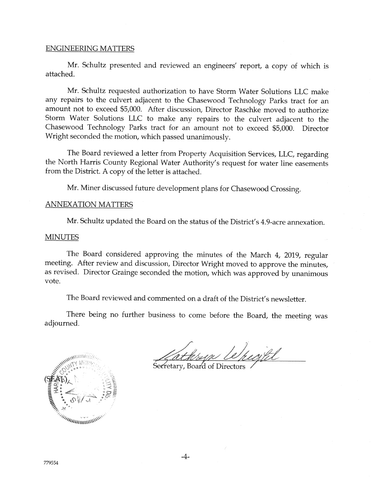#### **ENGINEERING MATTERS**

Mr. Schultz presented and reviewed an engineers' report, a copy of which is attached.

Mr. Schultz requested authorization to have Storm Water Solutions LLC make any repairs to the culvert adjacent to the Chasewood Technology Parks tract for an amount not to exceed \$5,000. After discussion, Director Raschke moved to authorize Storm Water Solutions LLC to make any repairs to the culvert adjacent to the Chasewood Technology Parks tract for an amount not to exceed \$5,000. Director Wright seconded the motion, which passed unanimously.

The Board reviewed a letter from Property Acquisition Services, LLC, regarding the North Harris County Regional Water Authority's request for water line easements from the District. A copy of the letter is attached.

Mr. Miner discussed future development plans for Chasewood Crossing.

# **ANNEXATION MATTERS**

Mr. Schultz updated the Board on the status of the District's 4.9-acre annexation.

## MINUTES

The Board considered approving the minutes of the March 4, 2019, regular meeting. After review and discussion, Director Wright moved to approve the minutes, as revised. Director Crainge seconded the motion, which was approved by unanimous vote.

The Board reviewed and commented on a draft of the District's newsletter.

There being no further business to come before the Board, the meeting was adjourned.



Kathrap Le/people